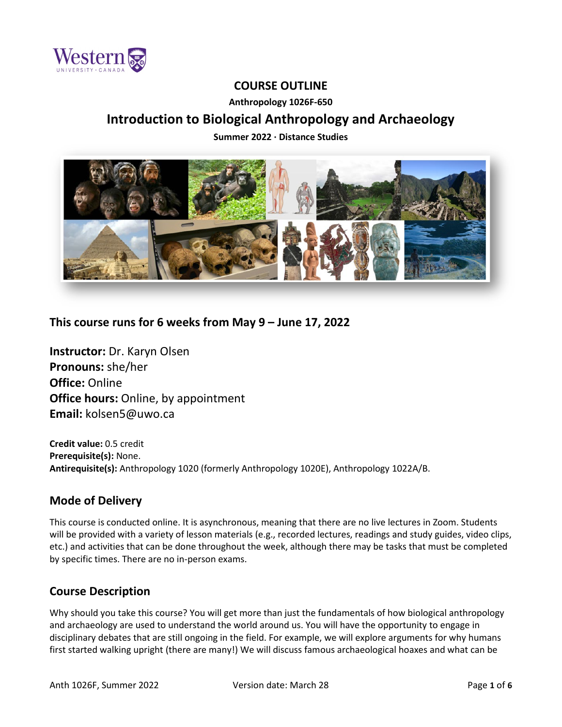

## **COURSE OUTLINE**

### **Anthropology 1026F-650**

# **Introduction to Biological Anthropology and Archaeology**

**Summer 2022 ∙ Distance Studies**



## **This course runs for 6 weeks from May 9 – June 17, 2022**

**Instructor:** Dr. Karyn Olsen **Pronouns:** she/her **Office:** Online **Office hours: Online, by appointment Email:** kolsen5@uwo.ca

**Credit value:** 0.5 credit **Prerequisite(s):** None. **Antirequisite(s):** Anthropology 1020 (formerly Anthropology 1020E), Anthropology 1022A/B.

### **Mode of Delivery**

This course is conducted online. It is asynchronous, meaning that there are no live lectures in Zoom. Students will be provided with a variety of lesson materials (e.g., recorded lectures, readings and study guides, video clips, etc.) and activities that can be done throughout the week, although there may be tasks that must be completed by specific times. There are no in-person exams.

## **Course Description**

Why should you take this course? You will get more than just the fundamentals of how biological anthropology and archaeology are used to understand the world around us. You will have the opportunity to engage in disciplinary debates that are still ongoing in the field. For example, we will explore arguments for why humans first started walking upright (there are many!) We will discuss famous archaeological hoaxes and what can be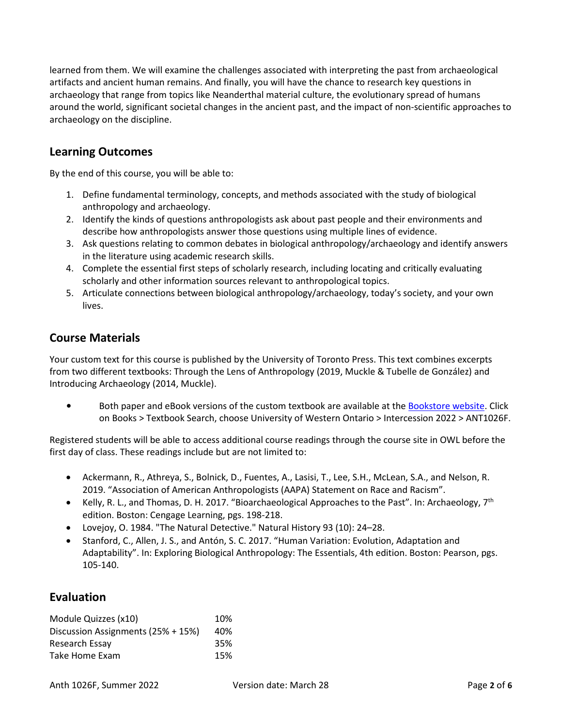learned from them. We will examine the challenges associated with interpreting the past from archaeological artifacts and ancient human remains. And finally, you will have the chance to research key questions in archaeology that range from topics like Neanderthal material culture, the evolutionary spread of humans around the world, significant societal changes in the ancient past, and the impact of non-scientific approaches to archaeology on the discipline.

## **Learning Outcomes**

By the end of this course, you will be able to:

- 1. Define fundamental terminology, concepts, and methods associated with the study of biological anthropology and archaeology.
- 2. Identify the kinds of questions anthropologists ask about past people and their environments and describe how anthropologists answer those questions using multiple lines of evidence.
- 3. Ask questions relating to common debates in biological anthropology/archaeology and identify answers in the literature using academic research skills.
- 4. Complete the essential first steps of scholarly research, including locating and critically evaluating scholarly and other information sources relevant to anthropological topics.
- 5. Articulate connections between biological anthropology/archaeology, today's society, and your own lives.

## **Course Materials**

Your custom text for this course is published by the University of Toronto Press. This text combines excerpts from two different textbooks: Through the Lens of Anthropology (2019, Muckle & Tubelle de González) and Introducing Archaeology (2014, Muckle).

• Both paper and eBook versions of the custom textbook are available at th[e Bookstore website.](https://bookstore.uwo.ca/) Click on Books > Textbook Search, choose University of Western Ontario > Intercession 2022 > ANT1026F.

Registered students will be able to access additional course readings through the course site in OWL before the first day of class. These readings include but are not limited to:

- Ackermann, R., Athreya, S., Bolnick, D., Fuentes, A., Lasisi, T., Lee, S.H., McLean, S.A., and Nelson, R. 2019. "Association of American Anthropologists (AAPA) Statement on Race and Racism".
- Kelly, R. L., and Thomas, D. H. 2017. "Bioarchaeological Approaches to the Past". In: Archaeology,  $7<sup>th</sup>$ edition. Boston: Cengage Learning, pgs. 198-218.
- Lovejoy, O. 1984. "The Natural Detective." Natural History 93 (10): 24–28.
- Stanford, C., Allen, J. S., and Antón, S. C. 2017. "Human Variation: Evolution, Adaptation and Adaptability". In: Exploring Biological Anthropology: The Essentials, 4th edition. Boston: Pearson, pgs. 105-140.

## **Evaluation**

| Module Quizzes (x10)               | 10% |
|------------------------------------|-----|
| Discussion Assignments (25% + 15%) | 40% |
| Research Essay                     | 35% |
| Take Home Exam                     | 15% |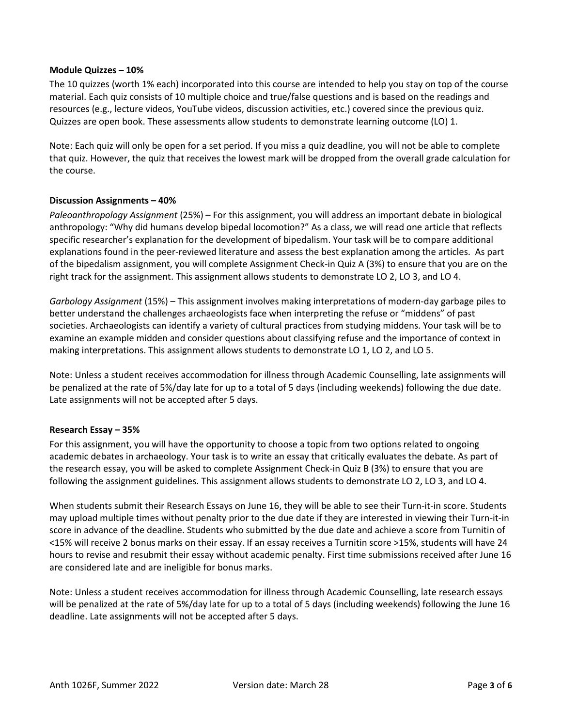### **Module Quizzes – 10%**

The 10 quizzes (worth 1% each) incorporated into this course are intended to help you stay on top of the course material. Each quiz consists of 10 multiple choice and true/false questions and is based on the readings and resources (e.g., lecture videos, YouTube videos, discussion activities, etc.) covered since the previous quiz. Quizzes are open book. These assessments allow students to demonstrate learning outcome (LO) 1.

Note: Each quiz will only be open for a set period. If you miss a quiz deadline, you will not be able to complete that quiz. However, the quiz that receives the lowest mark will be dropped from the overall grade calculation for the course.

### **Discussion Assignments – 40%**

*Paleoanthropology Assignment* (25%) – For this assignment, you will address an important debate in biological anthropology: "Why did humans develop bipedal locomotion?" As a class, we will read one article that reflects specific researcher's explanation for the development of bipedalism. Your task will be to compare additional explanations found in the peer-reviewed literature and assess the best explanation among the articles. As part of the bipedalism assignment, you will complete Assignment Check-in Quiz A (3%) to ensure that you are on the right track for the assignment. This assignment allows students to demonstrate LO 2, LO 3, and LO 4.

*Garbology Assignment* (15%) – This assignment involves making interpretations of modern-day garbage piles to better understand the challenges archaeologists face when interpreting the refuse or "middens" of past societies. Archaeologists can identify a variety of cultural practices from studying middens. Your task will be to examine an example midden and consider questions about classifying refuse and the importance of context in making interpretations. This assignment allows students to demonstrate LO 1, LO 2, and LO 5.

Note: Unless a student receives accommodation for illness through Academic Counselling, late assignments will be penalized at the rate of 5%/day late for up to a total of 5 days (including weekends) following the due date. Late assignments will not be accepted after 5 days.

### **Research Essay – 35%**

For this assignment, you will have the opportunity to choose a topic from two options related to ongoing academic debates in archaeology. Your task is to write an essay that critically evaluates the debate. As part of the research essay, you will be asked to complete Assignment Check-in Quiz B (3%) to ensure that you are following the assignment guidelines. This assignment allows students to demonstrate LO 2, LO 3, and LO 4.

When students submit their Research Essays on June 16, they will be able to see their Turn-it-in score. Students may upload multiple times without penalty prior to the due date if they are interested in viewing their Turn-it-in score in advance of the deadline. Students who submitted by the due date and achieve a score from Turnitin of <15% will receive 2 bonus marks on their essay. If an essay receives a Turnitin score >15%, students will have 24 hours to revise and resubmit their essay without academic penalty. First time submissions received after June 16 are considered late and are ineligible for bonus marks.

Note: Unless a student receives accommodation for illness through Academic Counselling, late research essays will be penalized at the rate of 5%/day late for up to a total of 5 days (including weekends) following the June 16 deadline. Late assignments will not be accepted after 5 days.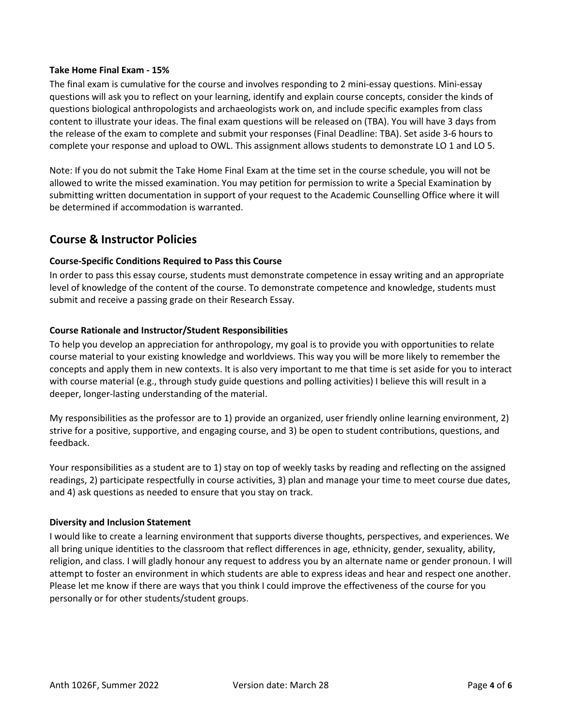### **Take Home Final Exam - 15%**

The final exam is cumulative for the course and involves responding to 2 mini-essay questions. Mini-essay questions will ask you to reflect on your learning, identify and explain course concepts, consider the kinds of questions biological anthropologists and archaeologists work on, and include specific examples from class content to illustrate your ideas. The final exam questions will be released on (TBA). You will have 3 days from the release of the exam to complete and submit your responses (Final Deadline: TBA). Set aside 3-6 hours to complete your response and upload to OWL. This assignment allows students to demonstrate LO 1 and LO 5.

Note: If you do not submit the Take Home Final Exam at the time set in the course schedule, you will not be allowed to write the missed examination. You may petition for permission to write a Special Examination by submitting written documentation in support of your request to the Academic Counselling Office where it will be determined if accommodation is warranted.

### **Course & Instructor Policies**

### **Course-Specific Conditions Required to Pass this Course**

In order to pass this essay course, students must demonstrate competence in essay writing and an appropriate level of knowledge of the content of the course. To demonstrate competence and knowledge, students must submit and receive a passing grade on their Research Essay.

### **Course Rationale and Instructor/Student Responsibilities**

To help you develop an appreciation for anthropology, my goal is to provide you with opportunities to relate course material to your existing knowledge and worldviews. This way you will be more likely to remember the concepts and apply them in new contexts. It is also very important to me that time is set aside for you to interact with course material (e.g., through study guide questions and polling activities) I believe this will result in a deeper, longer-lasting understanding of the material.

My responsibilities as the professor are to 1) provide an organized, user friendly online learning environment, 2) strive for a positive, supportive, and engaging course, and 3) be open to student contributions, questions, and feedback.

Your responsibilities as a student are to 1) stay on top of weekly tasks by reading and reflecting on the assigned readings, 2) participate respectfully in course activities, 3) plan and manage your time to meet course due dates, and 4) ask questions as needed to ensure that you stay on track.

#### **Diversity and Inclusion Statement**

I would like to create a learning environment that supports diverse thoughts, perspectives, and experiences. We all bring unique identities to the classroom that reflect differences in age, ethnicity, gender, sexuality, ability, religion, and class. I will gladly honour any request to address you by an alternate name or gender pronoun. I will attempt to foster an environment in which students are able to express ideas and hear and respect one another. Please let me know if there are ways that you think I could improve the effectiveness of the course for you personally or for other students/student groups.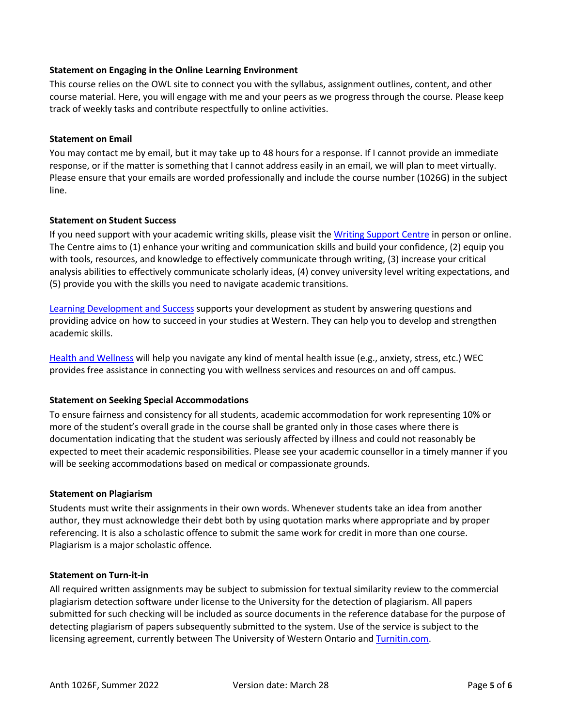### **Statement on Engaging in the Online Learning Environment**

This course relies on the OWL site to connect you with the syllabus, assignment outlines, content, and other course material. Here, you will engage with me and your peers as we progress through the course. Please keep track of weekly tasks and contribute respectfully to online activities.

### **Statement on Email**

You may contact me by email, but it may take up to 48 hours for a response. If I cannot provide an immediate response, or if the matter is something that I cannot address easily in an email, we will plan to meet virtually. Please ensure that your emails are worded professionally and include the course number (1026G) in the subject line.

### **Statement on Student Success**

If you need support with your academic writing skills, please visit th[e Writing Support Centre](http://writing.uwo.ca/) in person or online. The Centre aims to (1) enhance your writing and communication skills and build your confidence, (2) equip you with tools, resources, and knowledge to effectively communicate through writing, (3) increase your critical analysis abilities to effectively communicate scholarly ideas, (4) convey university level writing expectations, and (5) provide you with the skills you need to navigate academic transitions.

[Learning Development and Success](https://www.uwo.ca/sdc/learning/) supports your development as student by answering questions and providing advice on how to succeed in your studies at Western. They can help you to develop and strengthen academic skills.

[Health and Wellness](https://www.uwo.ca/health/) will help you navigate any kind of mental health issue (e.g., anxiety, stress, etc.) WEC provides free assistance in connecting you with wellness services and resources on and off campus.

### **Statement on Seeking Special Accommodations**

To ensure fairness and consistency for all students, academic accommodation for work representing 10% or more of the student's overall grade in the course shall be granted only in those cases where there is documentation indicating that the student was seriously affected by illness and could not reasonably be expected to meet their academic responsibilities. Please see your academic counsellor in a timely manner if you will be seeking accommodations based on medical or compassionate grounds.

#### **Statement on Plagiarism**

Students must write their assignments in their own words. Whenever students take an idea from another author, they must acknowledge their debt both by using quotation marks where appropriate and by proper referencing. It is also a scholastic offence to submit the same work for credit in more than one course. Plagiarism is a major scholastic offence.

### **Statement on Turn-it-in**

All required written assignments may be subject to submission for textual similarity review to the commercial plagiarism detection software under license to the University for the detection of plagiarism. All papers submitted for such checking will be included as source documents in the reference database for the purpose of detecting plagiarism of papers subsequently submitted to the system. Use of the service is subject to the licensing agreement, currently between The University of Western Ontario an[d Turnitin.com.](https://www.turnitin.com/)